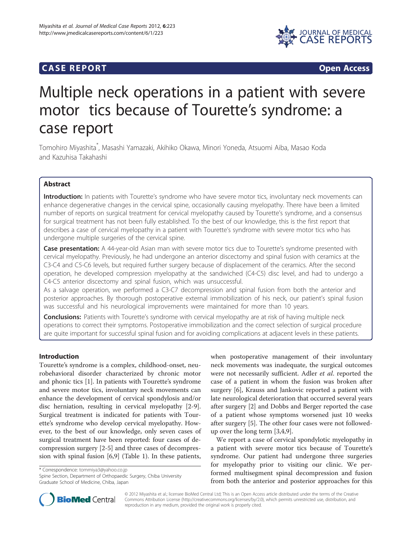# **CASE REPORT CASE REPORT**



# Multiple neck operations in a patient with severe motor tics because of Tourette's syndrome: a case report

Tomohiro Miyashita\* , Masashi Yamazaki, Akihiko Okawa, Minori Yoneda, Atsuomi Aiba, Masao Koda and Kazuhisa Takahashi

# Abstract

Introduction: In patients with Tourette's syndrome who have severe motor tics, involuntary neck movements can enhance degenerative changes in the cervical spine, occasionally causing myelopathy. There have been a limited number of reports on surgical treatment for cervical myelopathy caused by Tourette's syndrome, and a consensus for surgical treatment has not been fully established. To the best of our knowledge, this is the first report that describes a case of cervical myelopathy in a patient with Tourette's syndrome with severe motor tics who has undergone multiple surgeries of the cervical spine.

Case presentation: A 44-year-old Asian man with severe motor tics due to Tourette's syndrome presented with cervical myelopathy. Previously, he had undergone an anterior discectomy and spinal fusion with ceramics at the C3-C4 and C5-C6 levels, but required further surgery because of displacement of the ceramics. After the second operation, he developed compression myelopathy at the sandwiched (C4-C5) disc level, and had to undergo a C4-C5 anterior discectomy and spinal fusion, which was unsuccessful.

As a salvage operation, we performed a C3-C7 decompression and spinal fusion from both the anterior and posterior approaches. By thorough postoperative external immobilization of his neck, our patient's spinal fusion was successful and his neurological improvements were maintained for more than 10 years.

**Conclusions:** Patients with Tourette's syndrome with cervical myelopathy are at risk of having multiple neck operations to correct their symptoms. Postoperative immobilization and the correct selection of surgical procedure are quite important for successful spinal fusion and for avoiding complications at adjacent levels in these patients.

# Introduction

Tourette's syndrome is a complex, childhood-onset, neurobehavioral disorder characterized by chronic motor and phonic tics [[1\]](#page-4-0). In patients with Tourette's syndrome and severe motor tics, involuntary neck movements can enhance the development of cervical spondylosis and/or disc herniation, resulting in cervical myelopathy [[2-9](#page-4-0)]. Surgical treatment is indicated for patients with Tourette's syndrome who develop cervical myelopathy. However, to the best of our knowledge, only seven cases of surgical treatment have been reported: four cases of decompression surgery [[2-5](#page-4-0)] and three cases of decompression with spinal fusion [[6,9\]](#page-4-0) (Table [1](#page-1-0)). In these patients,

\* Correspondence: [tommiya3@yahoo.co.jp](mailto:tommiya3@yahoo.co.jp)

Spine Section, Department of Orthopaedic Surgery, Chiba University Graduate School of Medicine, Chiba, Japan

when postoperative management of their involuntary neck movements was inadequate, the surgical outcomes were not necessarily sufficient. Adler et al. reported the case of a patient in whom the fusion was broken after surgery [\[6](#page-4-0)], Krauss and Jankovic reported a patient with late neurological deterioration that occurred several years after surgery [\[2](#page-4-0)] and Dobbs and Berger reported the case of a patient whose symptoms worsened just 10 weeks after surgery [[5\]](#page-4-0). The other four cases were not followedup over the long term [\[3,4](#page-4-0),[9](#page-4-0)].

We report a case of cervical spondylotic myelopathy in a patient with severe motor tics because of Tourette's syndrome. Our patient had undergone three surgeries for myelopathy prior to visiting our clinic. We performed multisegment spinal decompression and fusion from both the anterior and posterior approaches for this



© 2012 Miyashita et al.; licensee BioMed Central Ltd; This is an Open Access article distributed under the terms of the Creative Commons Attribution License [\(http://creativecommons.org/licenses/by/2.0\)](http://creativecommons.org/licenses/by/2.0), which permits unrestricted use, distribution, and reproduction in any medium, provided the original work is properly cited.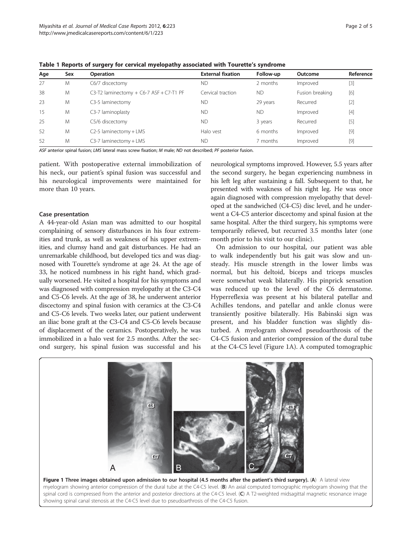| Age | Sex | <b>Operation</b>                            | <b>External fixation</b> | Follow-up | Outcome         | Reference |
|-----|-----|---------------------------------------------|--------------------------|-----------|-----------------|-----------|
| 27  | M   | C6/7 discectomy                             | <b>ND</b>                | 2 months  | Improved        | $[3]$     |
| 38  | M   | C3-T2 laminectomy $+$ C6-7 ASF $+$ C7-T1 PF | Cervical traction        | <b>ND</b> | Fusion breaking | [6]       |
| 23  | M   | C3-5 laminectomy                            | <b>ND</b>                | 29 years  | Recurred        | $[2]$     |
| 15  | M   | C3-7 laminoplasty                           | <b>ND</b>                | <b>ND</b> | Improved        | $[4]$     |
| 25  | M   | C5/6 discectomy                             | <b>ND</b>                | 3 years   | Recurred        | $[5]$     |
| 52  | M   | C2-5 laminectomy + LMS                      | Halo vest                | 6 months  | Improved        | $[9]$     |
| 52  | M   | C3-7 laminectomy + LMS                      | <b>ND</b>                | 7 months  | Improved        | $[9]$     |
|     |     |                                             |                          |           |                 |           |

<span id="page-1-0"></span>Table 1 Reports of surgery for cervical myelopathy associated with Tourette's syndrome

ASF anterior spinal fusion; LMS lateral mass screw fixation; M male; ND not described; PF posterior fusion.

patient. With postoperative external immobilization of his neck, our patient's spinal fusion was successful and his neurological improvements were maintained for more than 10 years.

#### Case presentation

A 44-year-old Asian man was admitted to our hospital complaining of sensory disturbances in his four extremities and trunk, as well as weakness of his upper extremities, and clumsy hand and gait disturbances. He had an unremarkable childhood, but developed tics and was diagnosed with Tourette's syndrome at age 24. At the age of 33, he noticed numbness in his right hand, which gradually worsened. He visited a hospital for his symptoms and was diagnosed with compression myelopathy at the C3-C4 and C5-C6 levels. At the age of 38, he underwent anterior discectomy and spinal fusion with ceramics at the C3-C4 and C5-C6 levels. Two weeks later, our patient underwent an iliac bone graft at the C3-C4 and C5-C6 levels because of displacement of the ceramics. Postoperatively, he was immobilized in a halo vest for 2.5 months. After the second surgery, his spinal fusion was successful and his

neurological symptoms improved. However, 5.5 years after the second surgery, he began experiencing numbness in his left leg after sustaining a fall. Subsequent to that, he presented with weakness of his right leg. He was once again diagnosed with compression myelopathy that developed at the sandwiched (C4-C5) disc level, and he underwent a C4-C5 anterior discectomy and spinal fusion at the same hospital. After the third surgery, his symptoms were temporarily relieved, but recurred 3.5 months later (one month prior to his visit to our clinic).

On admission to our hospital, our patient was able to walk independently but his gait was slow and unsteady. His muscle strength in the lower limbs was normal, but his deltoid, biceps and triceps muscles were somewhat weak bilaterally. His pinprick sensation was reduced up to the level of the C6 dermatome. Hyperreflexia was present at his bilateral patellar and Achilles tendons, and patellar and ankle clonus were transiently positive bilaterally. His Babinski sign was present, and his bladder function was slightly disturbed. A myelogram showed pseudoarthrosis of the C4-C5 fusion and anterior compression of the dural tube at the C4-C5 level (Figure 1A). A computed tomographic



spinal cord is compressed from the anterior and posterior directions at the C4-C5 level. (C) A T2-weighted midsagittal magnetic resonance image showing spinal canal stenosis at the C4-C5 level due to pseudoarthrosis of the C4-C5 fusion.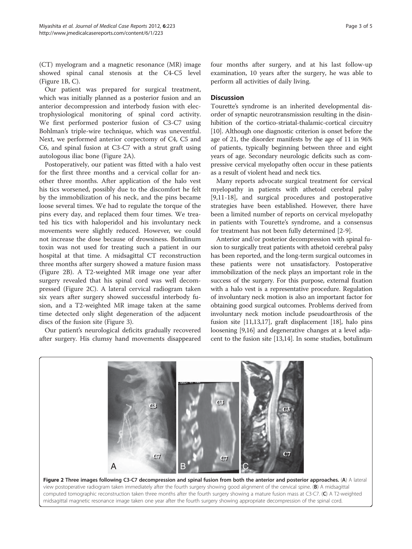(CT) myelogram and a magnetic resonance (MR) image showed spinal canal stenosis at the C4-C5 level (Figure [1B,](#page-1-0) C).

Our patient was prepared for surgical treatment, which was initially planned as a posterior fusion and an anterior decompression and interbody fusion with electrophysiological monitoring of spinal cord activity. We first performed posterior fusion of C3-C7 using Bohlman's triple-wire technique, which was uneventful. Next, we performed anterior corpectomy of C4, C5 and C6, and spinal fusion at C3-C7 with a strut graft using autologous iliac bone (Figure 2A).

Postoperatively, our patient was fitted with a halo vest for the first three months and a cervical collar for another three months. After application of the halo vest his tics worsened, possibly due to the discomfort he felt by the immobilization of his neck, and the pins became loose several times. We had to regulate the torque of the pins every day, and replaced them four times. We treated his tics with haloperidol and his involuntary neck movements were slightly reduced. However, we could not increase the dose because of drowsiness. Botulinum toxin was not used for treating such a patient in our hospital at that time. A midsagittal CT reconstruction three months after surgery showed a mature fusion mass (Figure 2B). A T2-weighted MR image one year after surgery revealed that his spinal cord was well decompressed (Figure 2C). A lateral cervical radiogram taken six years after surgery showed successful interbody fusion, and a T2-weighted MR image taken at the same time detected only slight degeneration of the adjacent discs of the fusion site (Figure [3\)](#page-3-0).

Our patient's neurological deficits gradually recovered after surgery. His clumsy hand movements disappeared four months after surgery, and at his last follow-up examination, 10 years after the surgery, he was able to perform all activities of daily living.

## **Discussion**

Tourette's syndrome is an inherited developmental disorder of synaptic neurotransmission resulting in the disinhibition of the cortico-striatal-thalamic-cortical circuitry [[10](#page-4-0)]. Although one diagnostic criterion is onset before the age of 21, the disorder manifests by the age of 11 in 96% of patients, typically beginning between three and eight years of age. Secondary neurologic deficits such as compressive cervical myelopathy often occur in these patients as a result of violent head and neck tics.

Many reports advocate surgical treatment for cervical myelopathy in patients with athetoid cerebral palsy [[9,11-18](#page-4-0)], and surgical procedures and postoperative strategies have been established. However, there have been a limited number of reports on cervical myelopathy in patients with Tourette's syndrome, and a consensus for treatment has not been fully determined [[2-9](#page-4-0)].

Anterior and/or posterior decompression with spinal fusion to surgically treat patients with athetoid cerebral palsy has been reported, and the long-term surgical outcomes in these patients were not unsatisfactory. Postoperative immobilization of the neck plays an important role in the success of the surgery. For this purpose, external fixation with a halo vest is a representative procedure. Regulation of involuntary neck motion is also an important factor for obtaining good surgical outcomes. Problems derived from involuntary neck motion include pseudoarthrosis of the fusion site [\[11,13,17\]](#page-4-0), graft displacement [[18](#page-4-0)], halo pins loosening [\[9,16\]](#page-4-0) and degenerative changes at a level adjacent to the fusion site [[13,14](#page-4-0)]. In some studies, botulinum

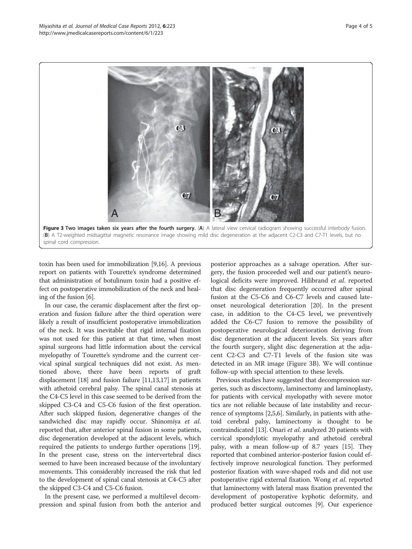<span id="page-3-0"></span>

toxin has been used for immobilization [[9,16](#page-4-0)]. A previous report on patients with Tourette's syndrome determined that administration of botulinum toxin had a positive effect on postoperative immobilization of the neck and healing of the fusion [\[6](#page-4-0)].

In our case, the ceramic displacement after the first operation and fusion failure after the third operation were likely a result of insufficient postoperative immobilization of the neck. It was inevitable that rigid internal fixation was not used for this patient at that time, when most spinal surgeons had little information about the cervical myelopathy of Tourette's syndrome and the current cervical spinal surgical techniques did not exist. As mentioned above, there have been reports of graft displacement [[18](#page-4-0)] and fusion failure [[11,13,17\]](#page-4-0) in patients with athetoid cerebral palsy. The spinal canal stenosis at the C4-C5 level in this case seemed to be derived from the skipped C3-C4 and C5-C6 fusion of the first operation. After such skipped fusion, degenerative changes of the sandwiched disc may rapidly occur. Shinomiya et al. reported that, after anterior spinal fusion in some patients, disc degeneration developed at the adjacent levels, which required the patients to undergo further operations [[19](#page-4-0)]. In the present case, stress on the intervertebral discs seemed to have been increased because of the involuntary movements. This considerably increased the risk that led to the development of spinal canal stenosis at C4-C5 after the skipped C3-C4 and C5-C6 fusion.

In the present case, we performed a multilevel decompression and spinal fusion from both the anterior and

posterior approaches as a salvage operation. After surgery, the fusion proceeded well and our patient's neurological deficits were improved. Hilibrand et al. reported that disc degeneration frequently occurred after spinal fusion at the C5-C6 and C6-C7 levels and caused lateonset neurological deterioration [\[20](#page-4-0)]. In the present case, in addition to the C4-C5 level, we preventively added the C6-C7 fusion to remove the possibility of postoperative neurological deterioration deriving from disc degeneration at the adjacent levels. Six years after the fourth surgery, slight disc degeneration at the adjacent C2-C3 and C7-T1 levels of the fusion site was detected in an MR image (Figure 3B). We will continue follow-up with special attention to these levels.

Previous studies have suggested that decompression surgeries, such as discectomy, laminectomy and laminoplasty, for patients with cervical myelopathy with severe motor tics are not reliable because of late instability and recurrence of symptoms [[2,5,6](#page-4-0)]. Similarly, in patients with athetoid cerebral palsy, laminectomy is thought to be contraindicated [[13](#page-4-0)]. Onari et al. analyzed 20 patients with cervical spondylotic myelopathy and athetoid cerebral palsy, with a mean follow-up of 8.7 years [[15](#page-4-0)]. They reported that combined anterior-posterior fusion could effectively improve neurological function. They performed posterior fixation with wave-shaped rods and did not use postoperative rigid external fixation. Wong et al. reported that laminectomy with lateral mass fixation prevented the development of postoperative kyphotic deformity, and produced better surgical outcomes [\[9\]](#page-4-0). Our experience